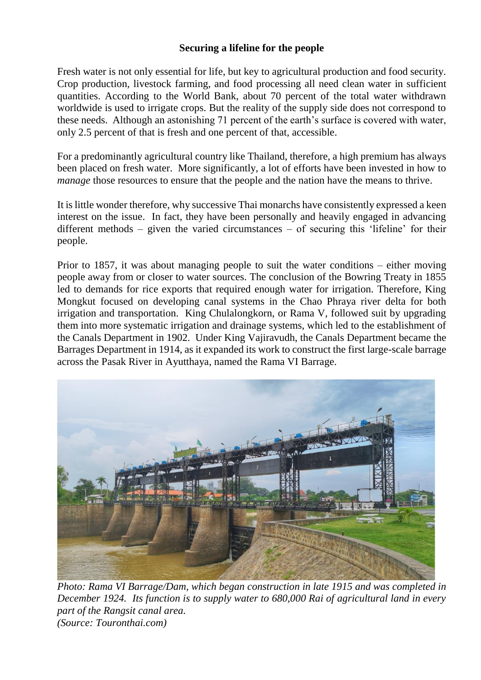## **Securing a lifeline for the people**

Fresh water is not only essential for life, but key to agricultural production and food security. Crop production, livestock farming, and food processing all need clean water in sufficient quantities. According to the World Bank, about 70 percent of the total water withdrawn worldwide is used to irrigate crops. But the reality of the supply side does not correspond to these needs. Although an astonishing 71 percent of the earth's surface is covered with water, only 2.5 percent of that is fresh and one percent of that, accessible.

For a predominantly agricultural country like Thailand, therefore, a high premium has always been placed on fresh water. More significantly, a lot of efforts have been invested in how to *manage* those resources to ensure that the people and the nation have the means to thrive.

It is little wonder therefore, why successive Thai monarchs have consistently expressed a keen interest on the issue. In fact, they have been personally and heavily engaged in advancing different methods – given the varied circumstances – of securing this 'lifeline' for their people.

Prior to 1857, it was about managing people to suit the water conditions – either moving people away from or closer to water sources. The conclusion of the Bowring Treaty in 1855 led to demands for rice exports that required enough water for irrigation. Therefore, King Mongkut focused on developing canal systems in the Chao Phraya river delta for both irrigation and transportation. King Chulalongkorn, or Rama V, followed suit by upgrading them into more systematic irrigation and drainage systems, which led to the establishment of the Canals Department in 1902. Under King Vajiravudh, the Canals Department became the Barrages Department in 1914, as it expanded its work to construct the first large-scale barrage across the Pasak River in Ayutthaya, named the Rama VI Barrage.



*Photo: Rama VI Barrage/Dam, which began construction in late 1915 and was completed in December 1924. Its function is to supply water to 680,000 Rai of agricultural land in every part of the Rangsit canal area. (Source: Touronthai.com)*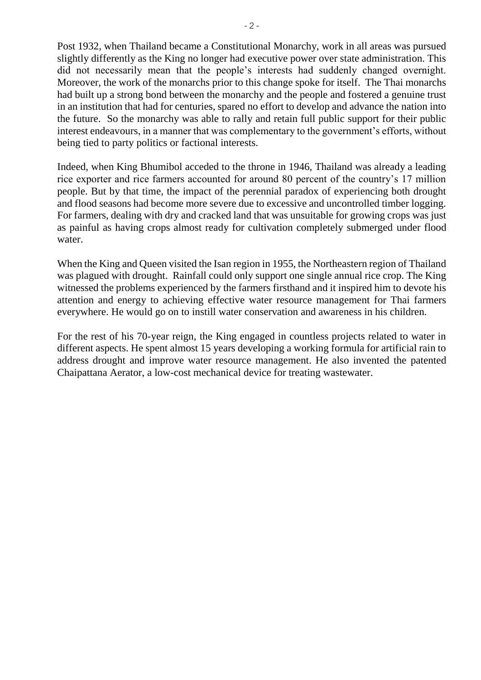Post 1932, when Thailand became a Constitutional Monarchy, work in all areas was pursued slightly differently as the King no longer had executive power over state administration. This did not necessarily mean that the people's interests had suddenly changed overnight. Moreover, the work of the monarchs prior to this change spoke for itself. The Thai monarchs had built up a strong bond between the monarchy and the people and fostered a genuine trust in an institution that had for centuries, spared no effort to develop and advance the nation into the future. So the monarchy was able to rally and retain full public support for their public interest endeavours, in a manner that was complementary to the government's efforts, without being tied to party politics or factional interests.

Indeed, when King Bhumibol acceded to the throne in 1946, Thailand was already a leading rice exporter and rice farmers accounted for around 80 percent of the country's 17 million people. But by that time, the impact of the perennial paradox of experiencing both drought and flood seasons had become more severe due to excessive and uncontrolled timber logging. For farmers, dealing with dry and cracked land that was unsuitable for growing crops was just as painful as having crops almost ready for cultivation completely submerged under flood water.

When the King and Queen visited the Isan region in 1955, the Northeastern region of Thailand was plagued with drought. Rainfall could only support one single annual rice crop. The King witnessed the problems experienced by the farmers firsthand and it inspired him to devote his attention and energy to achieving effective water resource management for Thai farmers everywhere. He would go on to instill water conservation and awareness in his children.

For the rest of his 70-year reign, the King engaged in countless projects related to water in different aspects. He spent almost 15 years developing a working formula for artificial rain to address drought and improve water resource management. He also invented the patented Chaipattana Aerator, a low-cost mechanical device for treating wastewater.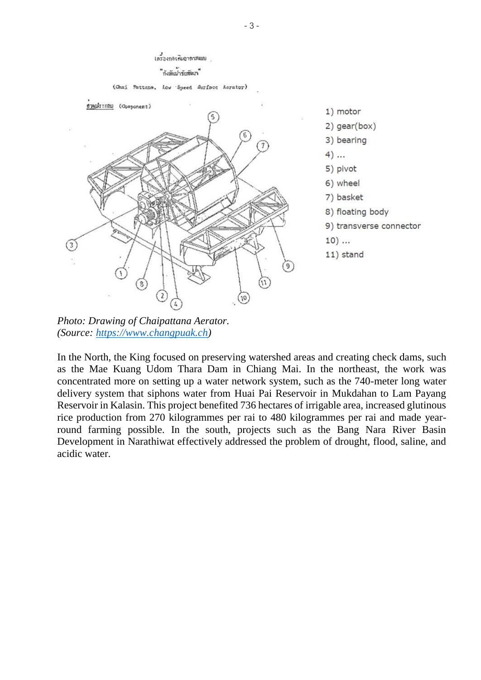## เครื่องกลรด้มอากาศแมน ้ำงังต้นกรับ<del>สั</del>ดเก๋

(Chai Pattana, Low Speed Surface Aerator)



1) motor  $2)$  gear(box) 3) bearing  $4)$  ... 5) pivot 6) wheel 7) basket 8) floating body 9) transverse connector  $10)$  ... 11) stand

*Photo: Drawing of Chaipattana Aerator. (Source: https://www.changpuak.ch)*

In the North, the King focused on preserving watershed areas and creating check dams, such as the Mae Kuang Udom Thara Dam in Chiang Mai. In the northeast, the work was concentrated more on setting up a water network system, such as the 740-meter long water delivery system that siphons water from Huai Pai Reservoir in Mukdahan to Lam Payang Reservoir in Kalasin. This project benefited 736 hectares of irrigable area, increased glutinous rice production from 270 kilogrammes per rai to 480 kilogrammes per rai and made yearround farming possible. In the south, projects such as the Bang Nara River Basin Development in Narathiwat effectively addressed the problem of drought, flood, saline, and acidic water.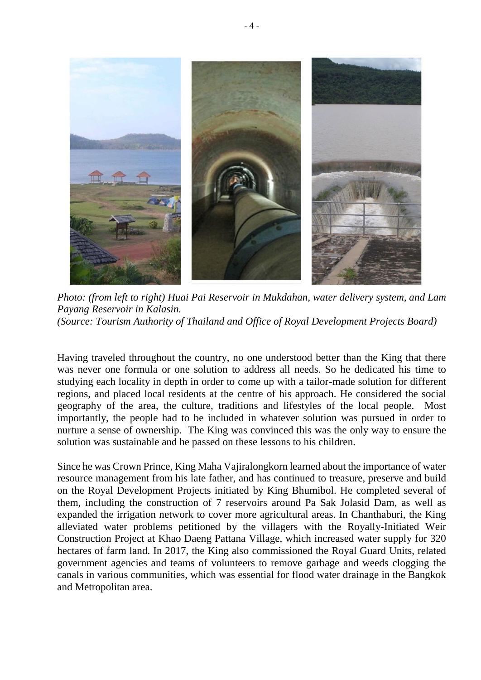

*Photo: (from left to right) Huai Pai Reservoir in Mukdahan, water delivery system, and Lam Payang Reservoir in Kalasin. (Source: Tourism Authority of Thailand and Office of Royal Development Projects Board)*

Having traveled throughout the country, no one understood better than the King that there was never one formula or one solution to address all needs. So he dedicated his time to studying each locality in depth in order to come up with a tailor-made solution for different regions, and placed local residents at the centre of his approach. He considered the social geography of the area, the culture, traditions and lifestyles of the local people. Most importantly, the people had to be included in whatever solution was pursued in order to nurture a sense of ownership. The King was convinced this was the only way to ensure the solution was sustainable and he passed on these lessons to his children.

Since he was Crown Prince, King Maha Vajiralongkorn learned about the importance of water resource management from his late father, and has continued to treasure, preserve and build on the Royal Development Projects initiated by King Bhumibol. He completed several of them, including the construction of 7 reservoirs around Pa Sak Jolasid Dam, as well as expanded the irrigation network to cover more agricultural areas. In Chanthaburi, the King alleviated water problems petitioned by the villagers with the Royally-Initiated Weir Construction Project at Khao Daeng Pattana Village, which increased water supply for 320 hectares of farm land. In 2017, the King also commissioned the Royal Guard Units, related government agencies and teams of volunteers to remove garbage and weeds clogging the canals in various communities, which was essential for flood water drainage in the Bangkok and Metropolitan area.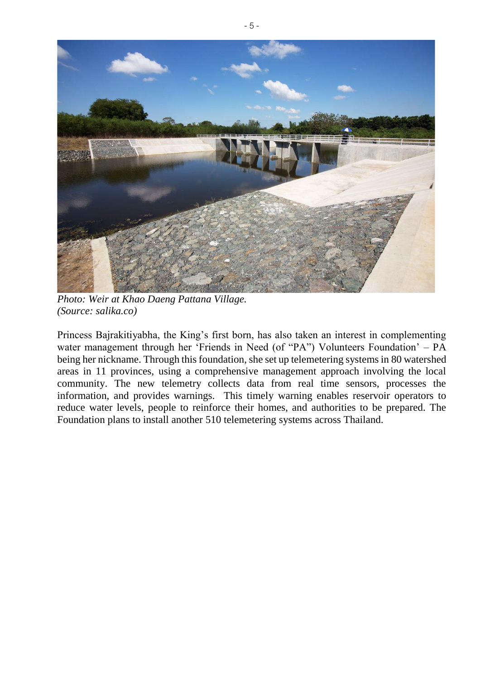

*Photo: Weir at Khao Daeng Pattana Village. (Source: salika.co)*

Princess Bajrakitiyabha, the King's first born, has also taken an interest in complementing water management through her 'Friends in Need (of "PA") Volunteers Foundation' – PA being her nickname. Through this foundation, she set up telemetering systems in 80 watershed areas in 11 provinces, using a comprehensive management approach involving the local community. The new telemetry collects data from real time sensors, processes the information, and provides warnings. This timely warning enables reservoir operators to reduce water levels, people to reinforce their homes, and authorities to be prepared. The Foundation plans to install another 510 telemetering systems across Thailand.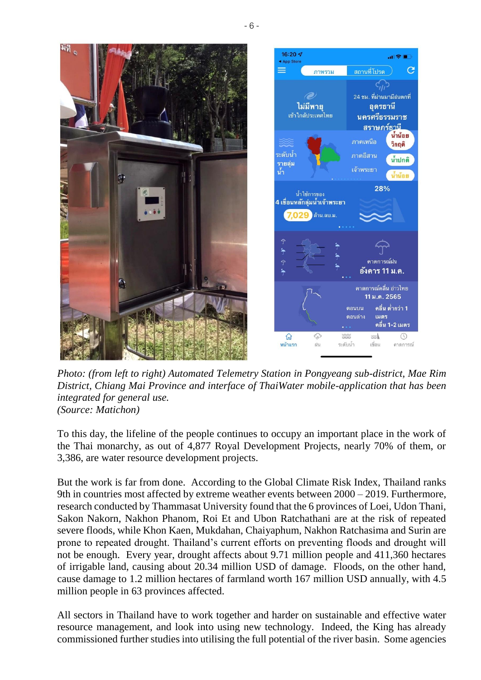

*Photo: (from left to right) Automated Telemetry Station in Pongyeang sub-district, Mae Rim District, Chiang Mai Province and interface of ThaiWater mobile-application that has been integrated for general use. (Source: Matichon)* 

To this day, the lifeline of the people continues to occupy an important place in the work of the Thai monarchy, as out of 4,877 Royal Development Projects, nearly 70% of them, or 3,386, are water resource development projects.

But the work is far from done. According to the Global Climate Risk Index, Thailand ranks 9th in countries most affected by extreme weather events between 2000 – 2019. Furthermore, research conducted by Thammasat University found that the 6 provinces of Loei, Udon Thani, Sakon Nakorn, Nakhon Phanom, Roi Et and Ubon Ratchathani are at the risk of repeated severe floods, while Khon Kaen, Mukdahan, Chaiyaphum, Nakhon Ratchasima and Surin are prone to repeated drought. Thailand's current efforts on preventing floods and drought will not be enough. Every year, drought affects about 9.71 million people and 411,360 hectares of irrigable land, causing about 20.34 million USD of damage. Floods, on the other hand, cause damage to 1.2 million hectares of farmland worth 167 million USD annually, with 4.5 million people in 63 provinces affected.

All sectors in Thailand have to work together and harder on sustainable and effective water resource management, and look into using new technology. Indeed, the King has already commissioned further studies into utilising the full potential of the river basin. Some agencies